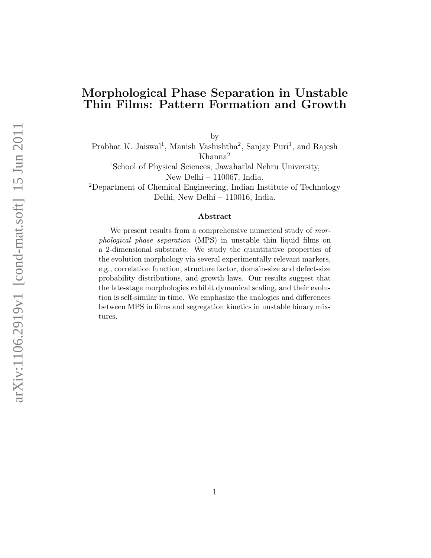#### Morphological Phase Separation in Unstable Thin Films: Pattern Formation and Growth

by

Prabhat K. Jaiswal<sup>1</sup>, Manish Vashishtha<sup>2</sup>, Sanjay Puri<sup>1</sup>, and Rajesh Khanna<sup>2</sup>

<sup>1</sup>School of Physical Sciences, Jawaharlal Nehru University, New Delhi – 110067, India.

<sup>2</sup>Department of Chemical Engineering, Indian Institute of Technology Delhi, New Delhi – 110016, India.

#### Abstract

We present results from a comprehensive numerical study of morphological phase separation (MPS) in unstable thin liquid films on a 2-dimensional substrate. We study the quantitative properties of the evolution morphology via several experimentally relevant markers, e.g., correlation function, structure factor, domain-size and defect-size probability distributions, and growth laws. Our results suggest that the late-stage morphologies exhibit dynamical scaling, and their evolution is self-similar in time. We emphasize the analogies and differences between MPS in films and segregation kinetics in unstable binary mixtures.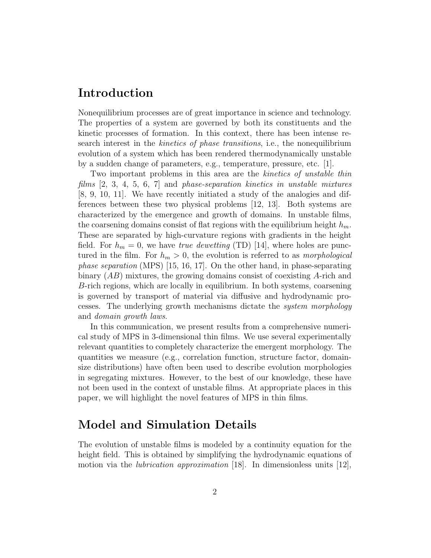# Introduction

Nonequilibrium processes are of great importance in science and technology. The properties of a system are governed by both its constituents and the kinetic processes of formation. In this context, there has been intense research interest in the kinetics of phase transitions, i.e., the nonequilibrium evolution of a system which has been rendered thermodynamically unstable by a sudden change of parameters, e.g., temperature, pressure, etc. [1].

Two important problems in this area are the *kinetics of unstable thin* films  $[2, 3, 4, 5, 6, 7]$  and phase-separation kinetics in unstable mixtures [8, 9, 10, 11]. We have recently initiated a study of the analogies and differences between these two physical problems [12, 13]. Both systems are characterized by the emergence and growth of domains. In unstable films, the coarsening domains consist of flat regions with the equilibrium height  $h_m$ . These are separated by high-curvature regions with gradients in the height field. For  $h_m = 0$ , we have *true dewetting* (TD) [14], where holes are punctured in the film. For  $h_m > 0$ , the evolution is referred to as *morphological phase separation* (MPS) [15, 16, 17]. On the other hand, in phase-separating binary  $(AB)$  mixtures, the growing domains consist of coexisting A-rich and B-rich regions, which are locally in equilibrium. In both systems, coarsening is governed by transport of material via diffusive and hydrodynamic processes. The underlying growth mechanisms dictate the system morphology and domain growth laws.

In this communication, we present results from a comprehensive numerical study of MPS in 3-dimensional thin films. We use several experimentally relevant quantities to completely characterize the emergent morphology. The quantities we measure (e.g., correlation function, structure factor, domainsize distributions) have often been used to describe evolution morphologies in segregating mixtures. However, to the best of our knowledge, these have not been used in the context of unstable films. At appropriate places in this paper, we will highlight the novel features of MPS in thin films.

# Model and Simulation Details

The evolution of unstable films is modeled by a continuity equation for the height field. This is obtained by simplifying the hydrodynamic equations of motion via the *lubrication approximation* [18]. In dimensionless units [12],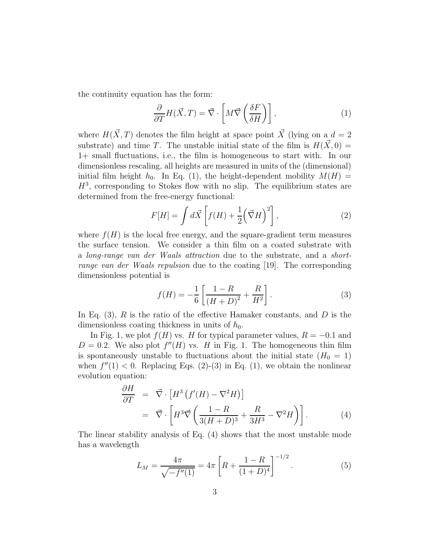the continuity equation has the form:

$$
\frac{\partial}{\partial T} H(\vec{X}, T) = \vec{\nabla} \cdot \left[ M \vec{\nabla} \left( \frac{\delta F}{\delta H} \right) \right],\tag{1}
$$

where  $H(\vec{X}, T)$  denotes the film height at space point  $\vec{X}$  (lying on a  $d = 2$ ) substrate) and time T. The unstable initial state of the film is  $H(\vec{X}, 0) =$ 1+ small fluctuations, i.e., the film is homogeneous to start with. In our dimensionless rescaling, all heights are measured in units of the (dimensional) initial film height  $h_0$ . In Eq. (1), the height-dependent mobility  $M(H)$  =  $H<sup>3</sup>$ , corresponding to Stokes flow with no slip. The equilibrium states are determined from the free-energy functional:

$$
F[H] = \int d\vec{X} \left[ f(H) + \frac{1}{2} (\vec{\nabla} H)^2 \right],\tag{2}
$$

where  $f(H)$  is the local free energy, and the square-gradient term measures the surface tension. We consider a thin film on a coated substrate with a long-range van der Waals attraction due to the substrate, and a shortrange van der Waals repulsion due to the coating [19]. The corresponding dimensionless potential is

$$
f(H) = -\frac{1}{6} \left[ \frac{1 - R}{(H + D)^2} + \frac{R}{H^2} \right].
$$
 (3)

In Eq.  $(3)$ , R is the ratio of the effective Hamaker constants, and D is the dimensionless coating thickness in units of  $h_0$ .

In Fig. 1, we plot  $f(H)$  vs. H for typical parameter values,  $R = -0.1$  and  $D = 0.2$ . We also plot  $f''(H)$  vs. H in Fig. 1. The homogeneous thin film is spontaneously unstable to fluctuations about the initial state  $(H_0 = 1)$ when  $f''(1) < 0$ . Replacing Eqs. (2)-(3) in Eq. (1), we obtain the nonlinear evolution equation:

$$
\frac{\partial H}{\partial T} = \vec{\nabla} \cdot \left[ H^3 \left( f'(H) - \nabla^2 H \right) \right]
$$
\n
$$
= \vec{\nabla} \cdot \left[ H^3 \vec{\nabla} \left( \frac{1 - R}{3(H + D)^3} + \frac{R}{3H^3} - \nabla^2 H \right) \right]. \tag{4}
$$

The linear stability analysis of Eq. (4) shows that the most unstable mode has a wavelength

$$
L_M = \frac{4\pi}{\sqrt{-f''(1)}} = 4\pi \left[ R + \frac{1 - R}{(1 + D)^4} \right]^{-1/2}.
$$
 (5)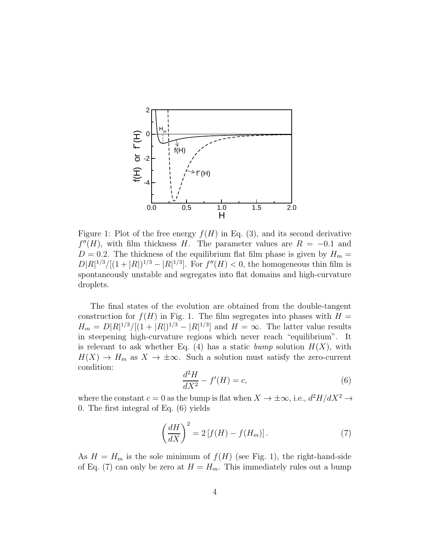

Figure 1: Plot of the free energy  $f(H)$  in Eq. (3), and its second derivative  $f''(H)$ , with film thickness H. The parameter values are  $R = -0.1$  and  $D = 0.2$ . The thickness of the equilibrium flat film phase is given by  $H_m =$  $D|R|^{1/3}/[(1+|R|)^{1/3}-|R|^{1/3}]$ . For  $f''(H) < 0$ , the homogeneous thin film is spontaneously unstable and segregates into flat domains and high-curvature droplets.

The final states of the evolution are obtained from the double-tangent construction for  $f(H)$  in Fig. 1. The film segregates into phases with  $H =$  $H_m = D|R|^{1/3}/[(1+|R|)^{1/3} - |R|^{1/3}]$  and  $H = \infty$ . The latter value results in steepening high-curvature regions which never reach "equilibrium". It is relevant to ask whether Eq. (4) has a static bump solution  $H(X)$ , with  $H(X) \to H_m$  as  $X \to \pm \infty$ . Such a solution must satisfy the zero-current condition:

$$
\frac{d^2H}{dX^2} - f'(H) = c,\t\t(6)
$$

where the constant  $c = 0$  as the bump is flat when  $X \to \pm \infty$ , i.e.,  $d^2H/dX^2 \to$ 0. The first integral of Eq. (6) yields

$$
\left(\frac{dH}{dX}\right)^2 = 2\left[f(H) - f(H_m)\right].\tag{7}
$$

As  $H = H_m$  is the sole minimum of  $f(H)$  (see Fig. 1), the right-hand-side of Eq. (7) can only be zero at  $H = H_m$ . This immediately rules out a bump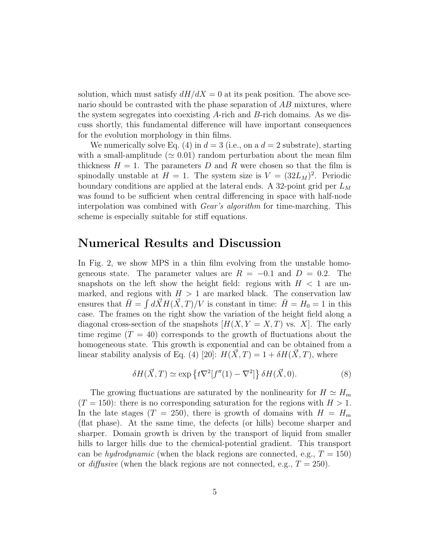solution, which must satisfy  $dH/dX = 0$  at its peak position. The above scenario should be contrasted with the phase separation of AB mixtures, where the system segregates into coexisting A-rich and B-rich domains. As we discuss shortly, this fundamental difference will have important consequences for the evolution morphology in thin films.

We numerically solve Eq. (4) in  $d = 3$  (i.e., on a  $d = 2$  substrate), starting with a small-amplitude ( $\simeq 0.01$ ) random perturbation about the mean film thickness  $H = 1$ . The parameters D and R were chosen so that the film is spinodally unstable at  $H = 1$ . The system size is  $V = (32L_M)^2$ . Periodic boundary conditions are applied at the lateral ends. A 32-point grid per  $L_M$ was found to be sufficient when central differencing in space with half-node interpolation was combined with Gear's algorithm for time-marching. This scheme is especially suitable for stiff equations.

### Numerical Results and Discussion

In Fig. 2, we show MPS in a thin film evolving from the unstable homogeneous state. The parameter values are  $R = -0.1$  and  $D = 0.2$ . The snapshots on the left show the height field: regions with  $H < 1$  are unmarked, and regions with  $H > 1$  are marked black. The conservation law ensures that  $\bar{H} = \int d\vec{X} H(\vec{X}, T) / V$  is constant in time:  $\bar{H} = H_0 = 1$  in this case. The frames on the right show the variation of the height field along a diagonal cross-section of the snapshots  $[H(X, Y = X, T)]$  vs. X. The early time regime  $(T = 40)$  corresponds to the growth of fluctuations about the homogeneous state. This growth is exponential and can be obtained from a linear stability analysis of Eq. (4) [20]:  $H(\vec{X}, T) = 1 + \delta H(\vec{X}, T)$ , where

$$
\delta H(\vec{X},T) \simeq \exp\left\{t\nabla^2[f''(1)-\nabla^2]\right\}\delta H(\vec{X},0). \tag{8}
$$

The growing fluctuations are saturated by the nonlinearity for  $H \simeq H_m$  $(T = 150)$ : there is no corresponding saturation for the regions with  $H > 1$ . In the late stages  $(T = 250)$ , there is growth of domains with  $H = H_m$ (flat phase). At the same time, the defects (or hills) become sharper and sharper. Domain growth is driven by the transport of liquid from smaller hills to larger hills due to the chemical-potential gradient. This transport can be *hydrodynamic* (when the black regions are connected, e.g.,  $T = 150$ ) or *diffusive* (when the black regions are not connected, e.g.,  $T = 250$ ).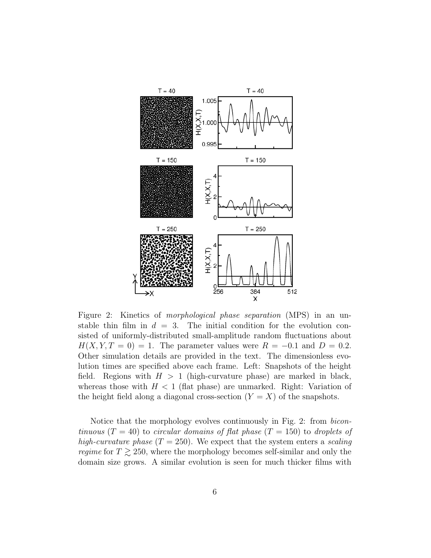

Figure 2: Kinetics of morphological phase separation (MPS) in an unstable thin film in  $d = 3$ . The initial condition for the evolution consisted of uniformly-distributed small-amplitude random fluctuations about  $H(X, Y, T = 0) = 1$ . The parameter values were  $R = -0.1$  and  $D = 0.2$ . Other simulation details are provided in the text. The dimensionless evolution times are specified above each frame. Left: Snapshots of the height field. Regions with  $H > 1$  (high-curvature phase) are marked in black, whereas those with  $H < 1$  (flat phase) are unmarked. Right: Variation of the height field along a diagonal cross-section  $(Y = X)$  of the snapshots.

Notice that the morphology evolves continuously in Fig. 2: from bicontinuous  $(T = 40)$  to circular domains of flat phase  $(T = 150)$  to droplets of high-curvature phase  $(T = 250)$ . We expect that the system enters a scaling *regime* for  $T \geq 250$ , where the morphology becomes self-similar and only the domain size grows. A similar evolution is seen for much thicker films with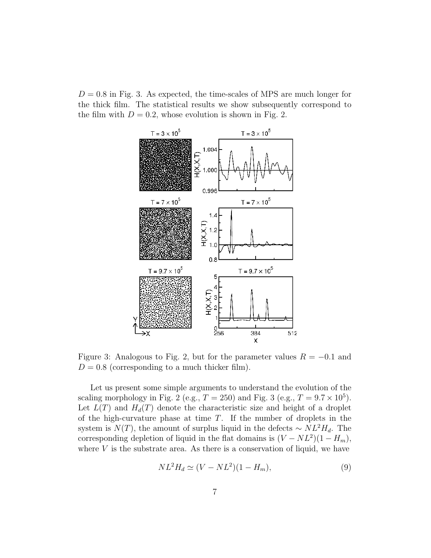$D = 0.8$  in Fig. 3. As expected, the time-scales of MPS are much longer for the thick film. The statistical results we show subsequently correspond to the film with  $D = 0.2$ , whose evolution is shown in Fig. 2.



Figure 3: Analogous to Fig. 2, but for the parameter values  $R = -0.1$  and  $D = 0.8$  (corresponding to a much thicker film).

Let us present some simple arguments to understand the evolution of the scaling morphology in Fig. 2 (e.g.,  $T = 250$ ) and Fig. 3 (e.g.,  $T = 9.7 \times 10^5$ ). Let  $L(T)$  and  $H_d(T)$  denote the characteristic size and height of a droplet of the high-curvature phase at time  $T$ . If the number of droplets in the system is  $N(T)$ , the amount of surplus liquid in the defects ~  $NL^2H_d$ . The corresponding depletion of liquid in the flat domains is  $(V - NL^2)(1 - H_m)$ , where  $V$  is the substrate area. As there is a conservation of liquid, we have

$$
NL^2H_d \simeq (V - NL^2)(1 - H_m),
$$
\n(9)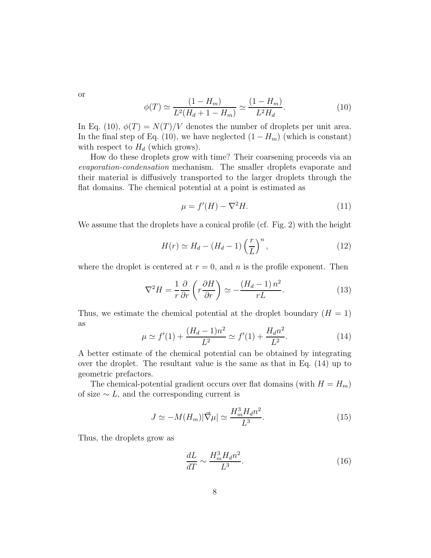or

$$
\phi(T) \simeq \frac{(1 - H_m)}{L^2(H_d + 1 - H_m)} \simeq \frac{(1 - H_m)}{L^2 H_d}.
$$
\n(10)

In Eq. (10),  $\phi(T) = N(T)/V$  denotes the number of droplets per unit area. In the final step of Eq. (10), we have neglected  $(1 - H_m)$  (which is constant) with respect to  $H_d$  (which grows).

How do these droplets grow with time? Their coarsening proceeds via an evaporation-condensation mechanism. The smaller droplets evaporate and their material is diffusively transported to the larger droplets through the flat domains. The chemical potential at a point is estimated as

$$
\mu = f'(H) - \nabla^2 H. \tag{11}
$$

We assume that the droplets have a conical profile (cf. Fig. 2) with the height

$$
H(r) \simeq H_d - (H_d - 1) \left(\frac{r}{L}\right)^n,\tag{12}
$$

where the droplet is centered at  $r = 0$ , and n is the profile exponent. Then

$$
\nabla^2 H = \frac{1}{r} \frac{\partial}{\partial r} \left( r \frac{\partial H}{\partial r} \right) \simeq -\frac{\left( H_d - 1 \right) n^2}{rL}.
$$
 (13)

Thus, we estimate the chemical potential at the droplet boundary  $(H = 1)$ as

$$
\mu \simeq f'(1) + \frac{(H_d - 1)n^2}{L^2} \simeq f'(1) + \frac{H_d n^2}{L^2}.
$$
\n(14)

A better estimate of the chemical potential can be obtained by integrating over the droplet. The resultant value is the same as that in Eq. (14) up to geometric prefactors.

The chemical-potential gradient occurs over flat domains (with  $H = H_m$ ) of size  $\sim L$ , and the corresponding current is

$$
J \simeq -M(H_m)|\vec{\nabla}\mu| \simeq \frac{H_m^3 H_a n^2}{L^3}.
$$
\n(15)

Thus, the droplets grow as

$$
\frac{dL}{dT} \sim \frac{H_m^3 H_d n^2}{L^3}.\tag{16}
$$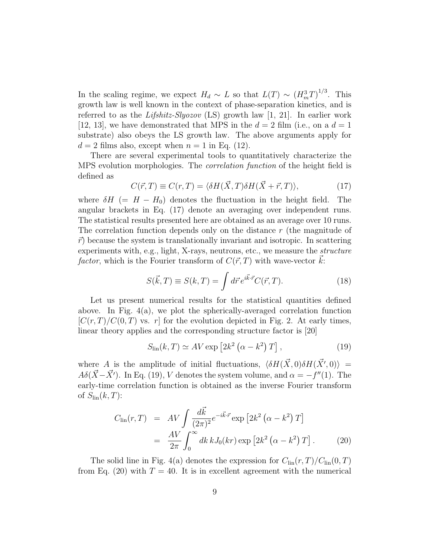In the scaling regime, we expect  $H_d \sim L$  so that  $L(T) \sim (H_m^3 T)^{1/3}$ . This growth law is well known in the context of phase-separation kinetics, and is referred to as the *Lifshitz-Slyozov* (LS) growth law [1, 21]. In earlier work [12, 13], we have demonstrated that MPS in the  $d = 2$  film (i.e., on a  $d = 1$ ) substrate) also obeys the LS growth law. The above arguments apply for  $d = 2$  films also, except when  $n = 1$  in Eq. (12).

There are several experimental tools to quantitatively characterize the MPS evolution morphologies. The correlation function of the height field is defined as

$$
C(\vec{r},T) \equiv C(r,T) = \langle \delta H(\vec{X},T) \delta H(\vec{X} + \vec{r},T) \rangle, \tag{17}
$$

where  $\delta H$  (=  $H - H_0$ ) denotes the fluctuation in the height field. The angular brackets in Eq. (17) denote an averaging over independent runs. The statistical results presented here are obtained as an average over 10 runs. The correlation function depends only on the distance  $r$  (the magnitude of  $\vec{r}$  because the system is translationally invariant and isotropic. In scattering experiments with, e.g., light, X-rays, neutrons, etc., we measure the structure factor, which is the Fourier transform of  $C(\vec{r}, T)$  with wave-vector  $k$ :

$$
S(\vec{k},T) \equiv S(k,T) = \int d\vec{r} \, e^{i\vec{k}\cdot\vec{r}} C(\vec{r},T). \tag{18}
$$

Let us present numerical results for the statistical quantities defined above. In Fig. 4(a), we plot the spherically-averaged correlation function  $[C(r,T)/C(0,T)$  vs. r for the evolution depicted in Fig. 2. At early times, linear theory applies and the corresponding structure factor is [20]

$$
S_{\rm lin}(k,T) \simeq AV \exp\left[2k^2\left(\alpha - k^2\right)T\right],\tag{19}
$$

where A is the amplitude of initial fluctuations,  $\langle \delta H(\vec{X}, 0) \delta H(\vec{X'}, 0) \rangle =$  $A\delta(\vec{X}-\vec{X'})$ . In Eq. (19), V denotes the system volume, and  $\alpha = -f''(1)$ . The early-time correlation function is obtained as the inverse Fourier transform of  $S_{\text{lin}}(k, T)$ :

$$
C_{\text{lin}}(r,T) = AV \int \frac{d\vec{k}}{(2\pi)^2} e^{-i\vec{k}\cdot\vec{r}} \exp\left[2k^2\left(\alpha - k^2\right)T\right]
$$

$$
= \frac{AV}{2\pi} \int_0^\infty dk \, k J_0(kr) \exp\left[2k^2\left(\alpha - k^2\right)T\right]. \tag{20}
$$

The solid line in Fig. 4(a) denotes the expression for  $C_{\text{lin}}(r, T)/C_{\text{lin}}(0, T)$ from Eq. (20) with  $T = 40$ . It is in excellent agreement with the numerical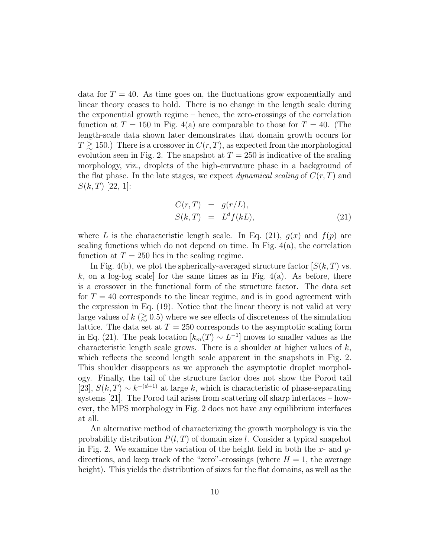data for  $T = 40$ . As time goes on, the fluctuations grow exponentially and linear theory ceases to hold. There is no change in the length scale during the exponential growth regime – hence, the zero-crossings of the correlation function at  $T = 150$  in Fig. 4(a) are comparable to those for  $T = 40$ . (The length-scale data shown later demonstrates that domain growth occurs for  $T \gtrsim 150$ .) There is a crossover in  $C(r, T)$ , as expected from the morphological evolution seen in Fig. 2. The snapshot at  $T = 250$  is indicative of the scaling morphology, viz., droplets of the high-curvature phase in a background of the flat phase. In the late stages, we expect *dynamical scaling* of  $C(r, T)$  and  $S(k, T)$  [22, 1]:

$$
C(r,T) = g(r/L),
$$
  
\n
$$
S(k,T) = L^d f(kL),
$$
\n(21)

where L is the characteristic length scale. In Eq. (21),  $g(x)$  and  $f(p)$  are scaling functions which do not depend on time. In Fig.  $4(a)$ , the correlation function at  $T = 250$  lies in the scaling regime.

In Fig. 4(b), we plot the spherically-averaged structure factor  $[S(k,T)$  vs. k, on a log-log scale] for the same times as in Fig.  $4(a)$ . As before, there is a crossover in the functional form of the structure factor. The data set for  $T = 40$  corresponds to the linear regime, and is in good agreement with the expression in Eq. (19). Notice that the linear theory is not valid at very large values of  $k \approx 0.5$ ) where we see effects of discreteness of the simulation lattice. The data set at  $T = 250$  corresponds to the asymptotic scaling form in Eq. (21). The peak location  $[k_m(T) \sim L^{-1}]$  moves to smaller values as the characteristic length scale grows. There is a shoulder at higher values of  $k$ , which reflects the second length scale apparent in the snapshots in Fig. 2. This shoulder disappears as we approach the asymptotic droplet morphology. Finally, the tail of the structure factor does not show the Porod tail [23],  $S(k,T) \sim k^{-(d+1)}$  at large k, which is characteristic of phase-separating systems [21]. The Porod tail arises from scattering off sharp interfaces – however, the MPS morphology in Fig. 2 does not have any equilibrium interfaces at all.

An alternative method of characterizing the growth morphology is via the probability distribution  $P(l, T)$  of domain size l. Consider a typical snapshot in Fig. 2. We examine the variation of the height field in both the  $x$ - and  $y$ directions, and keep track of the "zero"-crossings (where  $H = 1$ , the average height). This yields the distribution of sizes for the flat domains, as well as the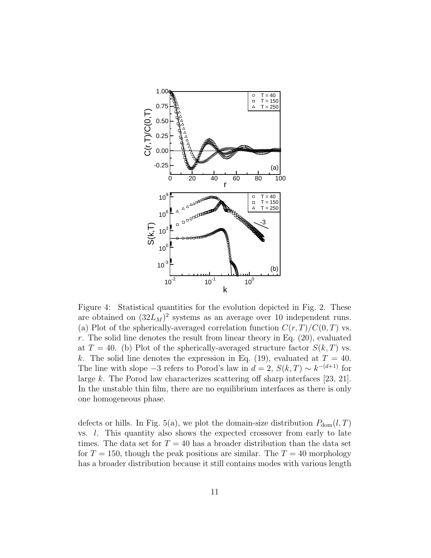

Figure 4: Statistical quantities for the evolution depicted in Fig. 2. These are obtained on  $(32L_M)^2$  systems as an average over 10 independent runs. (a) Plot of the spherically-averaged correlation function  $C(r, T)/C(0, T)$  vs. r. The solid line denotes the result from linear theory in Eq.  $(20)$ , evaluated at  $T = 40$ . (b) Plot of the spherically-averaged structure factor  $S(k, T)$  vs. k. The solid line denotes the expression in Eq. (19), evaluated at  $T = 40$ . The line with slope  $-3$  refers to Porod's law in  $d = 2$ ,  $S(k,T) \sim k^{-(d+1)}$  for large k. The Porod law characterizes scattering off sharp interfaces [23, 21]. In the unstable thin film, there are no equilibrium interfaces as there is only one homogeneous phase.

defects or hills. In Fig. 5(a), we plot the domain-size distribution  $P_{dom}(l, T)$ vs. l. This quantity also shows the expected crossover from early to late times. The data set for  $T = 40$  has a broader distribution than the data set for  $T = 150$ , though the peak positions are similar. The  $T = 40$  morphology has a broader distribution because it still contains modes with various length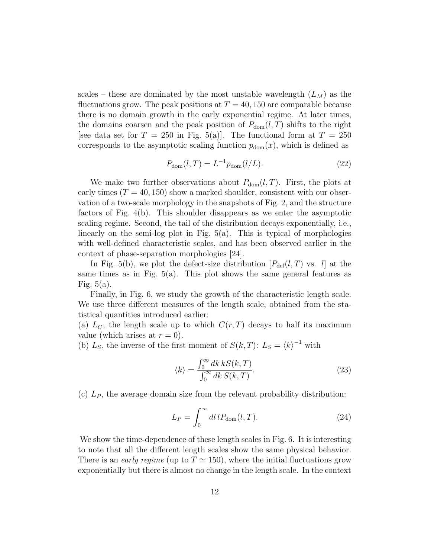scales – these are dominated by the most unstable wavelength  $(L_M)$  as the fluctuations grow. The peak positions at  $T = 40, 150$  are comparable because there is no domain growth in the early exponential regime. At later times, the domains coarsen and the peak position of  $P_{\text{dom}}(l, T)$  shifts to the right [see data set for  $T = 250$  in Fig. 5(a)]. The functional form at  $T = 250$ corresponds to the asymptotic scaling function  $p_{dom}(x)$ , which is defined as

$$
P_{\text{dom}}(l,T) = L^{-1} p_{\text{dom}}(l/L). \tag{22}
$$

We make two further observations about  $P_{\text{dom}}(l, T)$ . First, the plots at early times  $(T = 40, 150)$  show a marked shoulder, consistent with our observation of a two-scale morphology in the snapshots of Fig. 2, and the structure factors of Fig. 4(b). This shoulder disappears as we enter the asymptotic scaling regime. Second, the tail of the distribution decays exponentially, i.e., linearly on the semi-log plot in Fig. 5(a). This is typical of morphologies with well-defined characteristic scales, and has been observed earlier in the context of phase-separation morphologies [24].

In Fig. 5(b), we plot the defect-size distribution  $[P_{\text{def}}(l, T)$  vs. l at the same times as in Fig.  $5(a)$ . This plot shows the same general features as Fig.  $5(a)$ .

Finally, in Fig. 6, we study the growth of the characteristic length scale. We use three different measures of the length scale, obtained from the statistical quantities introduced earlier:

(a)  $L_C$ , the length scale up to which  $C(r, T)$  decays to half its maximum value (which arises at  $r = 0$ ).

(b)  $L_S$ , the inverse of the first moment of  $S(k,T)$ :  $L_S = \langle k \rangle^{-1}$  with

$$
\langle k \rangle = \frac{\int_0^\infty dk \, kS(k,T)}{\int_0^\infty dk \, S(k,T)}.\tag{23}
$$

(c)  $L_P$ , the average domain size from the relevant probability distribution:

$$
L_P = \int_0^\infty dl \, l P_{\text{dom}}(l, T). \tag{24}
$$

We show the time-dependence of these length scales in Fig. 6. It is interesting to note that all the different length scales show the same physical behavior. There is an *early regime* (up to  $T \simeq 150$ ), where the initial fluctuations grow exponentially but there is almost no change in the length scale. In the context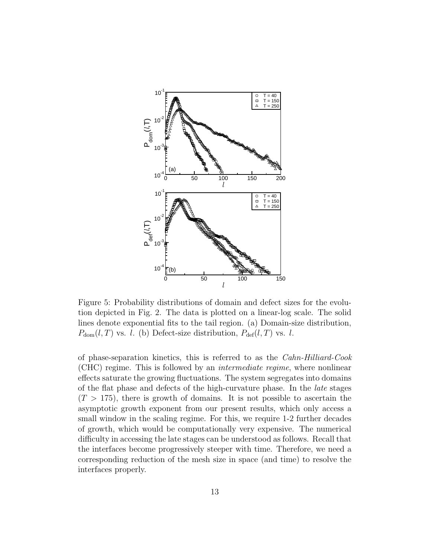

Figure 5: Probability distributions of domain and defect sizes for the evolution depicted in Fig. 2. The data is plotted on a linear-log scale. The solid lines denote exponential fits to the tail region. (a) Domain-size distribution,  $P_{\text{dom}}(l, T)$  vs. l. (b) Defect-size distribution,  $P_{\text{def}}(l, T)$  vs. l.

of phase-separation kinetics, this is referred to as the Cahn-Hilliard-Cook (CHC) regime. This is followed by an intermediate regime, where nonlinear effects saturate the growing fluctuations. The system segregates into domains of the flat phase and defects of the high-curvature phase. In the late stages  $(T > 175)$ , there is growth of domains. It is not possible to ascertain the asymptotic growth exponent from our present results, which only access a small window in the scaling regime. For this, we require 1-2 further decades of growth, which would be computationally very expensive. The numerical difficulty in accessing the late stages can be understood as follows. Recall that the interfaces become progressively steeper with time. Therefore, we need a corresponding reduction of the mesh size in space (and time) to resolve the interfaces properly.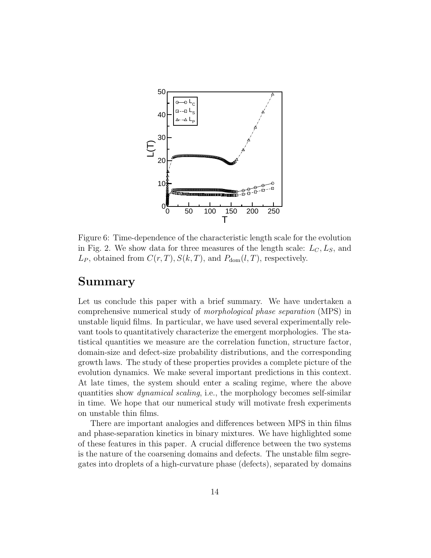

Figure 6: Time-dependence of the characteristic length scale for the evolution in Fig. 2. We show data for three measures of the length scale:  $L_C, L_S$ , and  $L_P$ , obtained from  $C(r, T)$ ,  $S(k, T)$ , and  $P_{dom}(l, T)$ , respectively.

#### Summary

Let us conclude this paper with a brief summary. We have undertaken a comprehensive numerical study of morphological phase separation (MPS) in unstable liquid films. In particular, we have used several experimentally relevant tools to quantitatively characterize the emergent morphologies. The statistical quantities we measure are the correlation function, structure factor, domain-size and defect-size probability distributions, and the corresponding growth laws. The study of these properties provides a complete picture of the evolution dynamics. We make several important predictions in this context. At late times, the system should enter a scaling regime, where the above quantities show dynamical scaling, i.e., the morphology becomes self-similar in time. We hope that our numerical study will motivate fresh experiments on unstable thin films.

There are important analogies and differences between MPS in thin films and phase-separation kinetics in binary mixtures. We have highlighted some of these features in this paper. A crucial difference between the two systems is the nature of the coarsening domains and defects. The unstable film segregates into droplets of a high-curvature phase (defects), separated by domains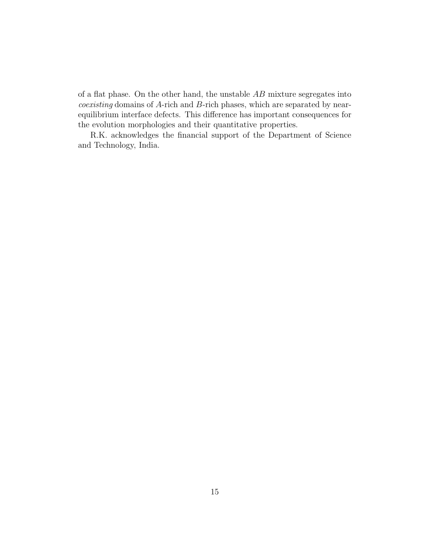of a flat phase. On the other hand, the unstable  $AB$  mixture segregates into coexisting domains of A-rich and B-rich phases, which are separated by nearequilibrium interface defects. This difference has important consequences for the evolution morphologies and their quantitative properties.

R.K. acknowledges the financial support of the Department of Science and Technology, India.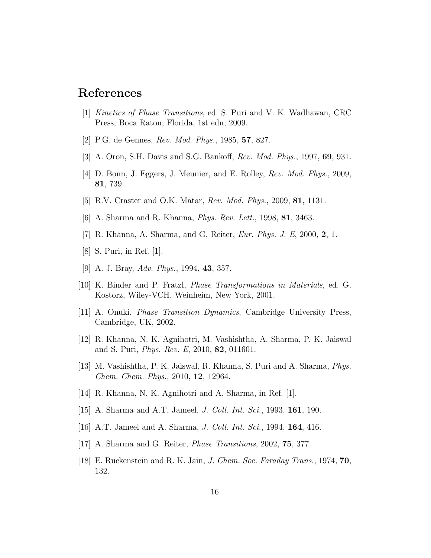# References

- [1] Kinetics of Phase Transitions, ed. S. Puri and V. K. Wadhawan, CRC Press, Boca Raton, Florida, 1st edn, 2009.
- [2] P.G. de Gennes, Rev. Mod. Phys., 1985, 57, 827.
- [3] A. Oron, S.H. Davis and S.G. Bankoff, Rev. Mod. Phys., 1997, 69, 931.
- [4] D. Bonn, J. Eggers, J. Meunier, and E. Rolley, Rev. Mod. Phys., 2009, 81, 739.
- [5] R.V. Craster and O.K. Matar, Rev. Mod. Phys., 2009, 81, 1131.
- [6] A. Sharma and R. Khanna, *Phys. Rev. Lett.*, 1998, **81**, 3463.
- [7] R. Khanna, A. Sharma, and G. Reiter, Eur. Phys. J. E, 2000, 2, 1.
- [8] S. Puri, in Ref. [1].
- [9] A. J. Bray, Adv. Phys., 1994, 43, 357.
- [10] K. Binder and P. Fratzl, Phase Transformations in Materials, ed. G. Kostorz, Wiley-VCH, Weinheim, New York, 2001.
- [11] A. Onuki, Phase Transition Dynamics, Cambridge University Press, Cambridge, UK, 2002.
- [12] R. Khanna, N. K. Agnihotri, M. Vashishtha, A. Sharma, P. K. Jaiswal and S. Puri, Phys. Rev. E, 2010, 82, 011601.
- [13] M. Vashishtha, P. K. Jaiswal, R. Khanna, S. Puri and A. Sharma, Phys. Chem. Chem. Phys., 2010, 12, 12964.
- [14] R. Khanna, N. K. Agnihotri and A. Sharma, in Ref. [1].
- [15] A. Sharma and A.T. Jameel, *J. Coll. Int. Sci.*, 1993, **161**, 190.
- [16] A.T. Jameel and A. Sharma, *J. Coll. Int. Sci.*, 1994, **164**, 416.
- [17] A. Sharma and G. Reiter, Phase Transitions, 2002, 75, 377.
- [18] E. Ruckenstein and R. K. Jain, J. Chem. Soc. Faraday Trans., 1974, 70, 132.